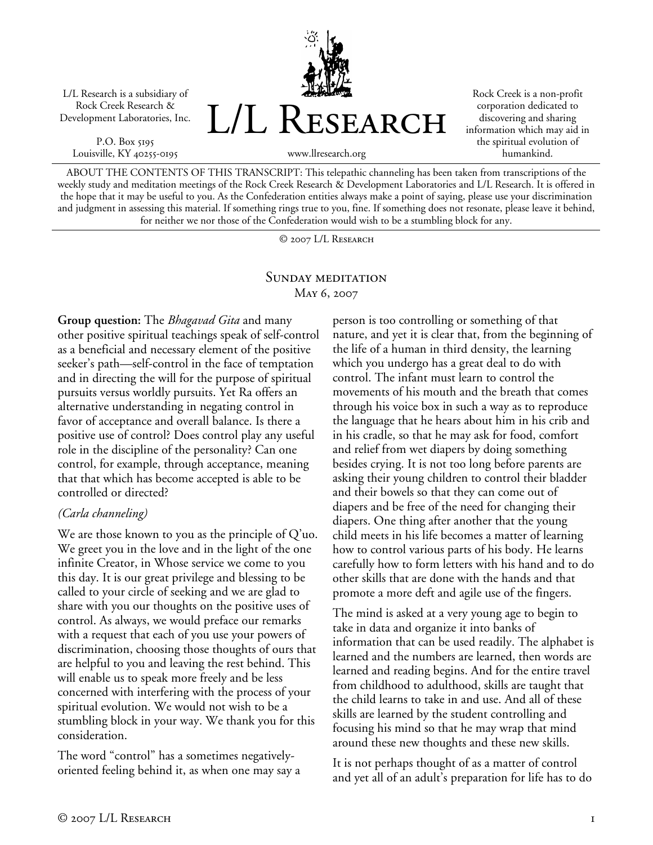L/L Research is a subsidiary of Rock Creek Research & Development Laboratories, Inc.

P.O. Box 5195 Louisville, KY 40255-0195



Rock Creek is a non-profit corporation dedicated to discovering and sharing information which may aid in the spiritual evolution of humankind.

www.llresearch.org

ABOUT THE CONTENTS OF THIS TRANSCRIPT: This telepathic channeling has been taken from transcriptions of the weekly study and meditation meetings of the Rock Creek Research & Development Laboratories and L/L Research. It is offered in the hope that it may be useful to you. As the Confederation entities always make a point of saying, please use your discrimination and judgment in assessing this material. If something rings true to you, fine. If something does not resonate, please leave it behind, for neither we nor those of the Confederation would wish to be a stumbling block for any.

© 2007 L/L Research

## SUNDAY MEDITATION May 6, 2007

**Group question:** The *Bhagavad Gita* and many other positive spiritual teachings speak of self-control as a beneficial and necessary element of the positive seeker's path—self-control in the face of temptation and in directing the will for the purpose of spiritual pursuits versus worldly pursuits. Yet Ra offers an alternative understanding in negating control in favor of acceptance and overall balance. Is there a positive use of control? Does control play any useful role in the discipline of the personality? Can one control, for example, through acceptance, meaning that that which has become accepted is able to be controlled or directed?

## *(Carla channeling)*

We are those known to you as the principle of Q'uo. We greet you in the love and in the light of the one infinite Creator, in Whose service we come to you this day. It is our great privilege and blessing to be called to your circle of seeking and we are glad to share with you our thoughts on the positive uses of control. As always, we would preface our remarks with a request that each of you use your powers of discrimination, choosing those thoughts of ours that are helpful to you and leaving the rest behind. This will enable us to speak more freely and be less concerned with interfering with the process of your spiritual evolution. We would not wish to be a stumbling block in your way. We thank you for this consideration.

The word "control" has a sometimes negativelyoriented feeling behind it, as when one may say a person is too controlling or something of that nature, and yet it is clear that, from the beginning of the life of a human in third density, the learning which you undergo has a great deal to do with control. The infant must learn to control the movements of his mouth and the breath that comes through his voice box in such a way as to reproduce the language that he hears about him in his crib and in his cradle, so that he may ask for food, comfort and relief from wet diapers by doing something besides crying. It is not too long before parents are asking their young children to control their bladder and their bowels so that they can come out of diapers and be free of the need for changing their diapers. One thing after another that the young child meets in his life becomes a matter of learning how to control various parts of his body. He learns carefully how to form letters with his hand and to do other skills that are done with the hands and that promote a more deft and agile use of the fingers.

The mind is asked at a very young age to begin to take in data and organize it into banks of information that can be used readily. The alphabet is learned and the numbers are learned, then words are learned and reading begins. And for the entire travel from childhood to adulthood, skills are taught that the child learns to take in and use. And all of these skills are learned by the student controlling and focusing his mind so that he may wrap that mind around these new thoughts and these new skills.

It is not perhaps thought of as a matter of control and yet all of an adult's preparation for life has to do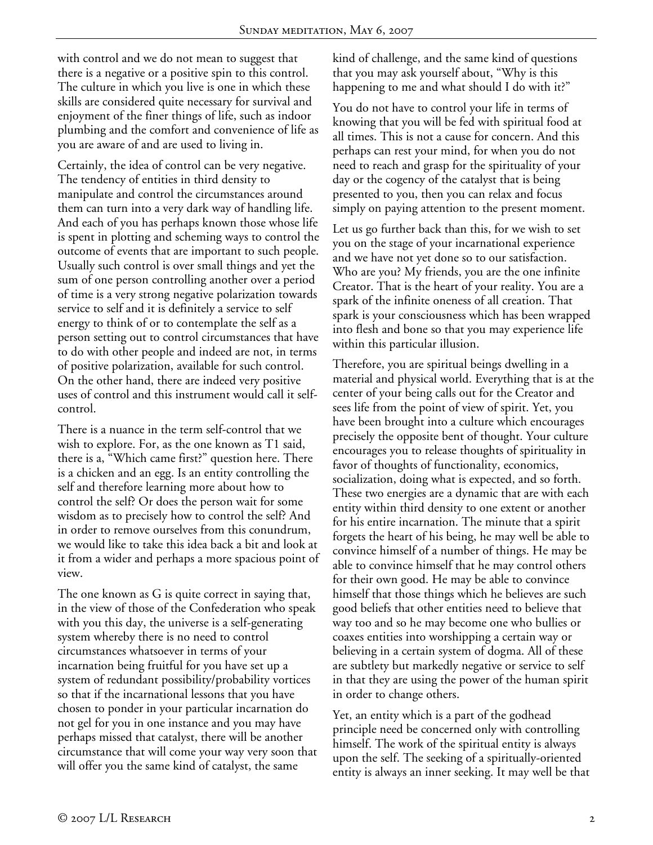with control and we do not mean to suggest that there is a negative or a positive spin to this control. The culture in which you live is one in which these skills are considered quite necessary for survival and enjoyment of the finer things of life, such as indoor plumbing and the comfort and convenience of life as you are aware of and are used to living in.

Certainly, the idea of control can be very negative. The tendency of entities in third density to manipulate and control the circumstances around them can turn into a very dark way of handling life. And each of you has perhaps known those whose life is spent in plotting and scheming ways to control the outcome of events that are important to such people. Usually such control is over small things and yet the sum of one person controlling another over a period of time is a very strong negative polarization towards service to self and it is definitely a service to self energy to think of or to contemplate the self as a person setting out to control circumstances that have to do with other people and indeed are not, in terms of positive polarization, available for such control. On the other hand, there are indeed very positive uses of control and this instrument would call it selfcontrol.

There is a nuance in the term self-control that we wish to explore. For, as the one known as T1 said, there is a, "Which came first?" question here. There is a chicken and an egg. Is an entity controlling the self and therefore learning more about how to control the self? Or does the person wait for some wisdom as to precisely how to control the self? And in order to remove ourselves from this conundrum, we would like to take this idea back a bit and look at it from a wider and perhaps a more spacious point of view.

The one known as G is quite correct in saying that, in the view of those of the Confederation who speak with you this day, the universe is a self-generating system whereby there is no need to control circumstances whatsoever in terms of your incarnation being fruitful for you have set up a system of redundant possibility/probability vortices so that if the incarnational lessons that you have chosen to ponder in your particular incarnation do not gel for you in one instance and you may have perhaps missed that catalyst, there will be another circumstance that will come your way very soon that will offer you the same kind of catalyst, the same

kind of challenge, and the same kind of questions that you may ask yourself about, "Why is this happening to me and what should I do with it?"

You do not have to control your life in terms of knowing that you will be fed with spiritual food at all times. This is not a cause for concern. And this perhaps can rest your mind, for when you do not need to reach and grasp for the spirituality of your day or the cogency of the catalyst that is being presented to you, then you can relax and focus simply on paying attention to the present moment.

Let us go further back than this, for we wish to set you on the stage of your incarnational experience and we have not yet done so to our satisfaction. Who are you? My friends, you are the one infinite Creator. That is the heart of your reality. You are a spark of the infinite oneness of all creation. That spark is your consciousness which has been wrapped into flesh and bone so that you may experience life within this particular illusion.

Therefore, you are spiritual beings dwelling in a material and physical world. Everything that is at the center of your being calls out for the Creator and sees life from the point of view of spirit. Yet, you have been brought into a culture which encourages precisely the opposite bent of thought. Your culture encourages you to release thoughts of spirituality in favor of thoughts of functionality, economics, socialization, doing what is expected, and so forth. These two energies are a dynamic that are with each entity within third density to one extent or another for his entire incarnation. The minute that a spirit forgets the heart of his being, he may well be able to convince himself of a number of things. He may be able to convince himself that he may control others for their own good. He may be able to convince himself that those things which he believes are such good beliefs that other entities need to believe that way too and so he may become one who bullies or coaxes entities into worshipping a certain way or believing in a certain system of dogma. All of these are subtlety but markedly negative or service to self in that they are using the power of the human spirit in order to change others.

Yet, an entity which is a part of the godhead principle need be concerned only with controlling himself. The work of the spiritual entity is always upon the self. The seeking of a spiritually-oriented entity is always an inner seeking. It may well be that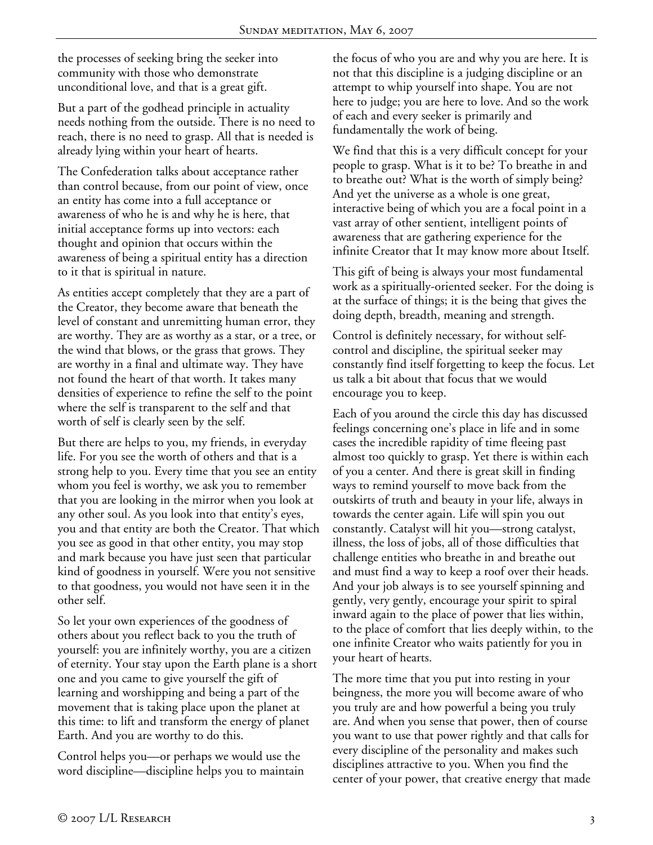the processes of seeking bring the seeker into community with those who demonstrate unconditional love, and that is a great gift.

But a part of the godhead principle in actuality needs nothing from the outside. There is no need to reach, there is no need to grasp. All that is needed is already lying within your heart of hearts.

The Confederation talks about acceptance rather than control because, from our point of view, once an entity has come into a full acceptance or awareness of who he is and why he is here, that initial acceptance forms up into vectors: each thought and opinion that occurs within the awareness of being a spiritual entity has a direction to it that is spiritual in nature.

As entities accept completely that they are a part of the Creator, they become aware that beneath the level of constant and unremitting human error, they are worthy. They are as worthy as a star, or a tree, or the wind that blows, or the grass that grows. They are worthy in a final and ultimate way. They have not found the heart of that worth. It takes many densities of experience to refine the self to the point where the self is transparent to the self and that worth of self is clearly seen by the self.

But there are helps to you, my friends, in everyday life. For you see the worth of others and that is a strong help to you. Every time that you see an entity whom you feel is worthy, we ask you to remember that you are looking in the mirror when you look at any other soul. As you look into that entity's eyes, you and that entity are both the Creator. That which you see as good in that other entity, you may stop and mark because you have just seen that particular kind of goodness in yourself. Were you not sensitive to that goodness, you would not have seen it in the other self.

So let your own experiences of the goodness of others about you reflect back to you the truth of yourself: you are infinitely worthy, you are a citizen of eternity. Your stay upon the Earth plane is a short one and you came to give yourself the gift of learning and worshipping and being a part of the movement that is taking place upon the planet at this time: to lift and transform the energy of planet Earth. And you are worthy to do this.

Control helps you—or perhaps we would use the word discipline—discipline helps you to maintain the focus of who you are and why you are here. It is not that this discipline is a judging discipline or an attempt to whip yourself into shape. You are not here to judge; you are here to love. And so the work of each and every seeker is primarily and fundamentally the work of being.

We find that this is a very difficult concept for your people to grasp. What is it to be? To breathe in and to breathe out? What is the worth of simply being? And yet the universe as a whole is one great, interactive being of which you are a focal point in a vast array of other sentient, intelligent points of awareness that are gathering experience for the infinite Creator that It may know more about Itself.

This gift of being is always your most fundamental work as a spiritually-oriented seeker. For the doing is at the surface of things; it is the being that gives the doing depth, breadth, meaning and strength.

Control is definitely necessary, for without selfcontrol and discipline, the spiritual seeker may constantly find itself forgetting to keep the focus. Let us talk a bit about that focus that we would encourage you to keep.

Each of you around the circle this day has discussed feelings concerning one's place in life and in some cases the incredible rapidity of time fleeing past almost too quickly to grasp. Yet there is within each of you a center. And there is great skill in finding ways to remind yourself to move back from the outskirts of truth and beauty in your life, always in towards the center again. Life will spin you out constantly. Catalyst will hit you—strong catalyst, illness, the loss of jobs, all of those difficulties that challenge entities who breathe in and breathe out and must find a way to keep a roof over their heads. And your job always is to see yourself spinning and gently, very gently, encourage your spirit to spiral inward again to the place of power that lies within, to the place of comfort that lies deeply within, to the one infinite Creator who waits patiently for you in your heart of hearts.

The more time that you put into resting in your beingness, the more you will become aware of who you truly are and how powerful a being you truly are. And when you sense that power, then of course you want to use that power rightly and that calls for every discipline of the personality and makes such disciplines attractive to you. When you find the center of your power, that creative energy that made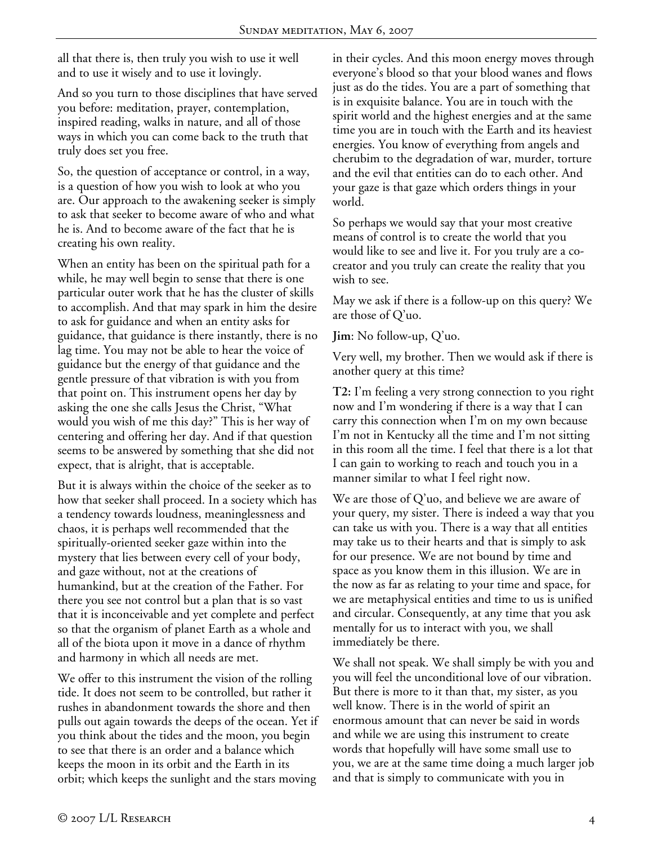all that there is, then truly you wish to use it well and to use it wisely and to use it lovingly.

And so you turn to those disciplines that have served you before: meditation, prayer, contemplation, inspired reading, walks in nature, and all of those ways in which you can come back to the truth that truly does set you free.

So, the question of acceptance or control, in a way, is a question of how you wish to look at who you are. Our approach to the awakening seeker is simply to ask that seeker to become aware of who and what he is. And to become aware of the fact that he is creating his own reality.

When an entity has been on the spiritual path for a while, he may well begin to sense that there is one particular outer work that he has the cluster of skills to accomplish. And that may spark in him the desire to ask for guidance and when an entity asks for guidance, that guidance is there instantly, there is no lag time. You may not be able to hear the voice of guidance but the energy of that guidance and the gentle pressure of that vibration is with you from that point on. This instrument opens her day by asking the one she calls Jesus the Christ, "What would you wish of me this day?" This is her way of centering and offering her day. And if that question seems to be answered by something that she did not expect, that is alright, that is acceptable.

But it is always within the choice of the seeker as to how that seeker shall proceed. In a society which has a tendency towards loudness, meaninglessness and chaos, it is perhaps well recommended that the spiritually-oriented seeker gaze within into the mystery that lies between every cell of your body, and gaze without, not at the creations of humankind, but at the creation of the Father. For there you see not control but a plan that is so vast that it is inconceivable and yet complete and perfect so that the organism of planet Earth as a whole and all of the biota upon it move in a dance of rhythm and harmony in which all needs are met.

We offer to this instrument the vision of the rolling tide. It does not seem to be controlled, but rather it rushes in abandonment towards the shore and then pulls out again towards the deeps of the ocean. Yet if you think about the tides and the moon, you begin to see that there is an order and a balance which keeps the moon in its orbit and the Earth in its orbit; which keeps the sunlight and the stars moving

in their cycles. And this moon energy moves through everyone's blood so that your blood wanes and flows just as do the tides. You are a part of something that is in exquisite balance. You are in touch with the spirit world and the highest energies and at the same time you are in touch with the Earth and its heaviest energies. You know of everything from angels and cherubim to the degradation of war, murder, torture and the evil that entities can do to each other. And your gaze is that gaze which orders things in your world.

So perhaps we would say that your most creative means of control is to create the world that you would like to see and live it. For you truly are a cocreator and you truly can create the reality that you wish to see.

May we ask if there is a follow-up on this query? We are those of Q'uo.

**Jim**: No follow-up, Q'uo.

Very well, my brother. Then we would ask if there is another query at this time?

**T2:** I'm feeling a very strong connection to you right now and I'm wondering if there is a way that I can carry this connection when I'm on my own because I'm not in Kentucky all the time and I'm not sitting in this room all the time. I feel that there is a lot that I can gain to working to reach and touch you in a manner similar to what I feel right now.

We are those of Q'uo, and believe we are aware of your query, my sister. There is indeed a way that you can take us with you. There is a way that all entities may take us to their hearts and that is simply to ask for our presence. We are not bound by time and space as you know them in this illusion. We are in the now as far as relating to your time and space, for we are metaphysical entities and time to us is unified and circular. Consequently, at any time that you ask mentally for us to interact with you, we shall immediately be there.

We shall not speak. We shall simply be with you and you will feel the unconditional love of our vibration. But there is more to it than that, my sister, as you well know. There is in the world of spirit an enormous amount that can never be said in words and while we are using this instrument to create words that hopefully will have some small use to you, we are at the same time doing a much larger job and that is simply to communicate with you in